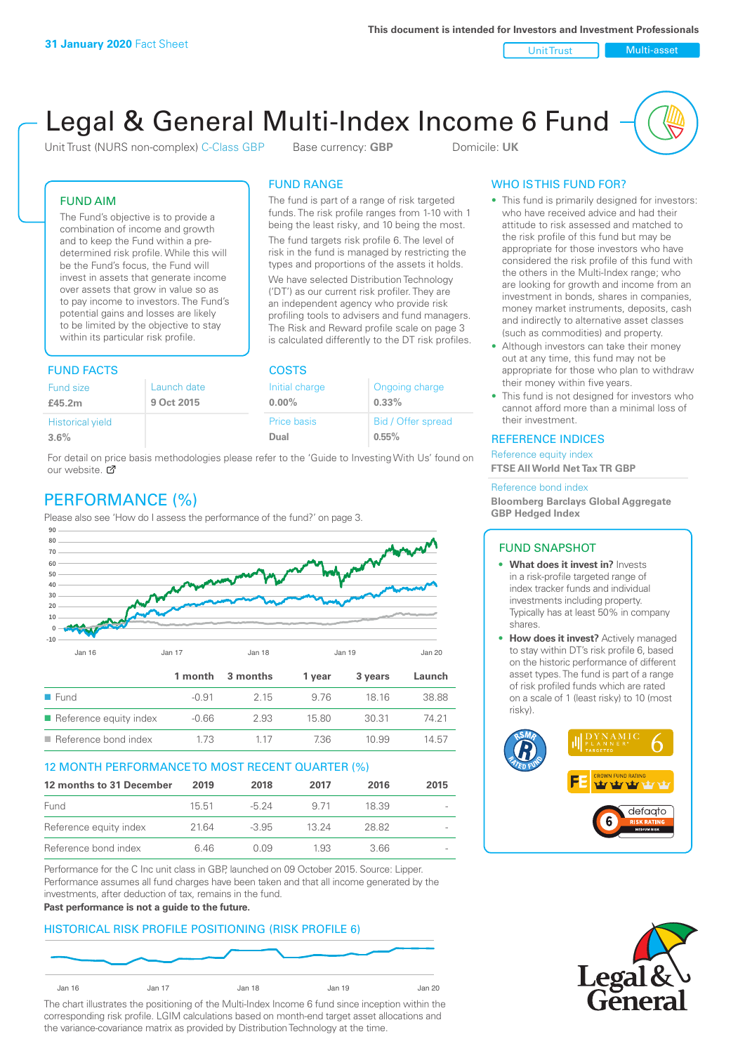Unit Trust Nulti-asset

# Legal & General Multi-Index Income 6 Fund

Unit Trust (NURS non-complex) C-Class GBP Base currency: **GBP** Domicile: UK

The fund is part of a range of risk targeted funds. The risk profile ranges from 1-10 with 1 being the least risky, and 10 being the most. The fund targets risk profile 6. The level of risk in the fund is managed by restricting the types and proportions of the assets it holds. We have selected Distribution Technology ('DT') as our current risk profiler. They are an independent agency who provide risk profiling tools to advisers and fund managers. The Risk and Reward profile scale on page 3 is calculated differently to the DT risk profiles.

FUND RANGE

## FUND AIM

The Fund's objective is to provide a combination of income and growth and to keep the Fund within a predetermined risk profile. While this will be the Fund's focus, the Fund will invest in assets that generate income over assets that grow in value so as to pay income to investors. The Fund's potential gains and losses are likely to be limited by the objective to stay within its particular risk profile.

# FUND FACTS COSTS

| Ongoing charge     |
|--------------------|
|                    |
|                    |
| Bid / Offer spread |
|                    |
|                    |

For detail on price basis methodologies please refer to the 'Guide to Investing With Us' found on our website. Ø

# PERFORMANCE (%)

Please also see 'How do I assess the performance of the fund?' on page 3.



## 12 MONTH PERFORMANCE TO MOST RECENT QUARTER (%)

| 12 months to 31 December | 2019  | 2018    | 2017  | 2016  | 2015                     |
|--------------------------|-------|---------|-------|-------|--------------------------|
| Fund                     | 15.51 | -5 24   | 9.71  | 18.39 | $\overline{\phantom{a}}$ |
| Reference equity index   | 2164  | $-3.95$ | 13.24 | 28.82 |                          |
| Reference bond index     | 646   | O 0.9   | 1.93  | 3.66  | $\overline{\phantom{0}}$ |

Performance for the C Inc unit class in GBP, launched on 09 October 2015. Source: Lipper. Performance assumes all fund charges have been taken and that all income generated by the investments, after deduction of tax, remains in the fund.

#### **Past performance is not a guide to the future.**

## HISTORICAL RISK PROFILE POSITIONING (RISK PROFILE 6)



The chart illustrates the positioning of the Multi-Index Income 6 fund since inception within the corresponding risk profile. LGIM calculations based on month-end target asset allocations and the variance-covariance matrix as provided by Distribution Technology at the time.

## WHO IS THIS FUND FOR?

- This fund is primarily designed for investors: who have received advice and had their attitude to risk assessed and matched to the risk profile of this fund but may be appropriate for those investors who have considered the risk profile of this fund with the others in the Multi-Index range; who are looking for growth and income from an investment in bonds, shares in companies, money market instruments, deposits, cash and indirectly to alternative asset classes (such as commodities) and property.
- Although investors can take their money out at any time, this fund may not be appropriate for those who plan to withdraw their money within five years.
- This fund is not designed for investors who cannot afford more than a minimal loss of their investment.

## REFERENCE INDICES

Reference equity index **FTSE All World Net Tax TR GBP**

#### Reference bond index

**Bloomberg Barclays Global Aggregate GBP Hedged Index**

#### FUND SNAPSHOT

- **• What does it invest in?** Invests in a risk-profile targeted range of index tracker funds and individual investments including property. Typically has at least 50% in company shares.
- **• How does it invest?** Actively managed to stay within DT's risk profile 6, based on the historic performance of different asset types. The fund is part of a range of risk profiled funds which are rated on a scale of 1 (least risky) to 10 (most risky).



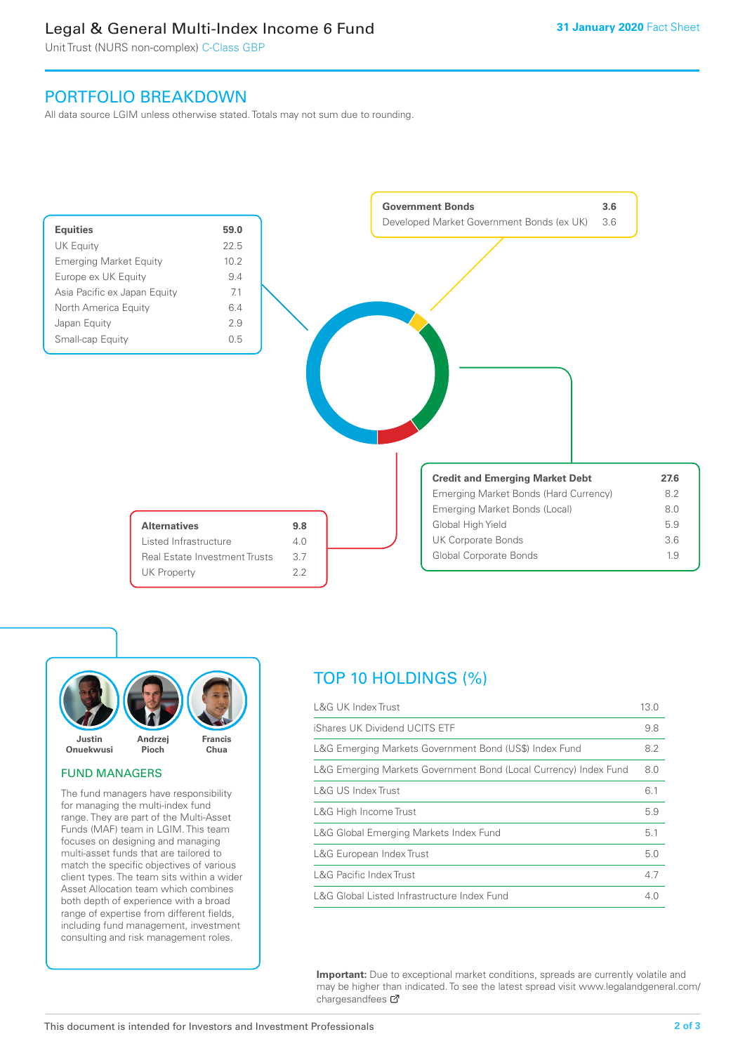# Legal & General Multi-Index Income 6 Fund

Unit Trust (NURS non-complex) C-Class GBP

# PORTFOLIO BREAKDOWN

All data source LGIM unless otherwise stated. Totals may not sum due to rounding.





## FUND MANAGERS

The fund managers have responsibility for managing the multi-index fund range. They are part of the Multi-Asset Funds (MAF) team in LGIM. This team focuses on designing and managing multi-asset funds that are tailored to match the specific objectives of various client types. The team sits within a wider Asset Allocation team which combines both depth of experience with a broad range of expertise from different fields, including fund management, investment consulting and risk management roles.

# TOP 10 HOLDINGS (%)

| <b>L&amp;G UK Index Trust</b>                                    | 13.0 |
|------------------------------------------------------------------|------|
| iShares UK Dividend UCITS ETF                                    | 9.8  |
| L&G Emerging Markets Government Bond (US\$) Index Fund           | 8.2  |
| L&G Emerging Markets Government Bond (Local Currency) Index Fund | 8.0  |
| L&G US Index Trust                                               | 6.1  |
| L&G High Income Trust                                            | 5.9  |
| L&G Global Emerging Markets Index Fund                           | 5.1  |
| L&G European Index Trust                                         | 5.0  |
| <b>L&amp;G Pacific Index Trust</b>                               | 4.7  |
| L&G Global Listed Infrastructure Index Fund                      | 4.0  |

**Important:** Due to exceptional market conditions, spreads are currently volatile and may be higher than indicated. To see the latest spread visit www.legalandgeneral.com/ chargesandfees  $\sigma$